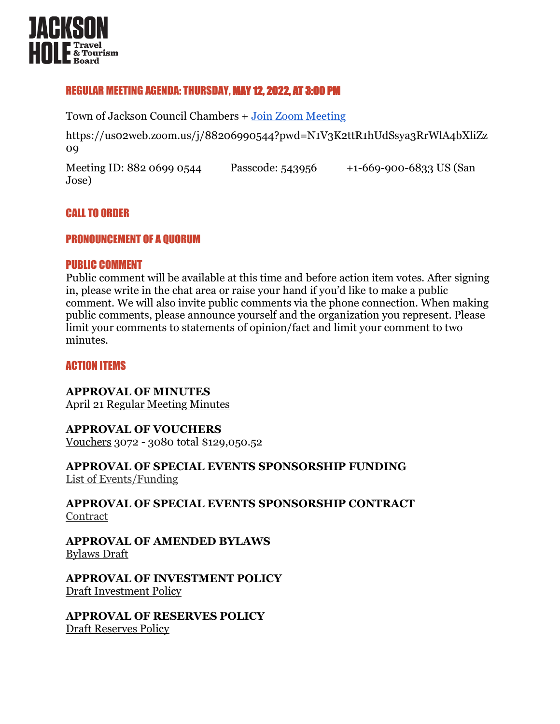

# REGULAR MEETING AGENDA: THURSDAY, MAY 12, 2022, AT 3:00 PM

Town of Jackson Council Chambers + [Join Zoom Meeting](https://us02web.zoom.us/j/88206990544?pwd=N1V3K2ttR1hUdSsya3RrWlA4bXliZz09)

https://us02web.zoom.us/j/88206990544?pwd=N1V3K2ttR1hUdSsya3RrWlA4bXliZz 09

Meeting ID: 882 0699 0544 Passcode: 543956 +1-669-900-6833 US (San Jose)

# CALL TO ORDER

## PRONOUNCEMENT OF A QUORUM

#### PUBLIC COMMENT

Public comment will be available at this time and before action item votes. After signing in, please write in the chat area or raise your hand if you'd like to make a public comment. We will also invite public comments via the phone connection. When making public comments, please announce yourself and the organization you represent. Please limit your comments to statements of opinion/fact and limit your comment to two minutes.

## ACTION ITEMS

**APPROVAL OF MINUTES** April 21 [Regular Meeting Minutes](https://www.tetoncountywy.gov/DocumentCenter/View/22135/April-21-Minutes-Final-)

## **APPROVAL OF VOUCHERS**

[Vouchers](https://www.tetoncountywy.gov/DocumentCenter/View/22133/2022-04-JHTTJPB-Vouchers-3072-to-3080-Summary) 3072 - 3080 total \$129,050.52

**APPROVAL OF SPECIAL EVENTS SPONSORSHIP FUNDING**  [List of Events/Funding](https://www.tetoncountywy.gov/DocumentCenter/View/22092/22-23-JHTTB-Event-Funding-Recommendation)

**APPROVAL OF SPECIAL EVENTS SPONSORSHIP CONTRACT [Contract](https://www.tetoncountywy.gov/DocumentCenter/View/22093/TTB-Event-Sponsorship-Agreement-_-22-23-Events-_-Changes-Highlighted)** 

#### **APPROVAL OF AMENDED BYLAWS**  [Bylaws Draft](https://www.tetoncountywy.gov/DocumentCenter/View/22096/3rd-Ammended-By-Laws-First-Draft)

**APPROVAL OF INVESTMENT POLICY** [Draft Investment Policy](https://www.tetoncountywy.gov/DocumentCenter/View/22137/JHTTB---RESOLUTION-2022-04_Statement-of-Investment-Policy)

**APPROVAL OF RESERVES POLICY** [Draft Reserves Policy](https://www.tetoncountywy.gov/DocumentCenter/View/22136/JHTTB---RESOLUTION-2022-05_Statement-of-Reserves-Policy)